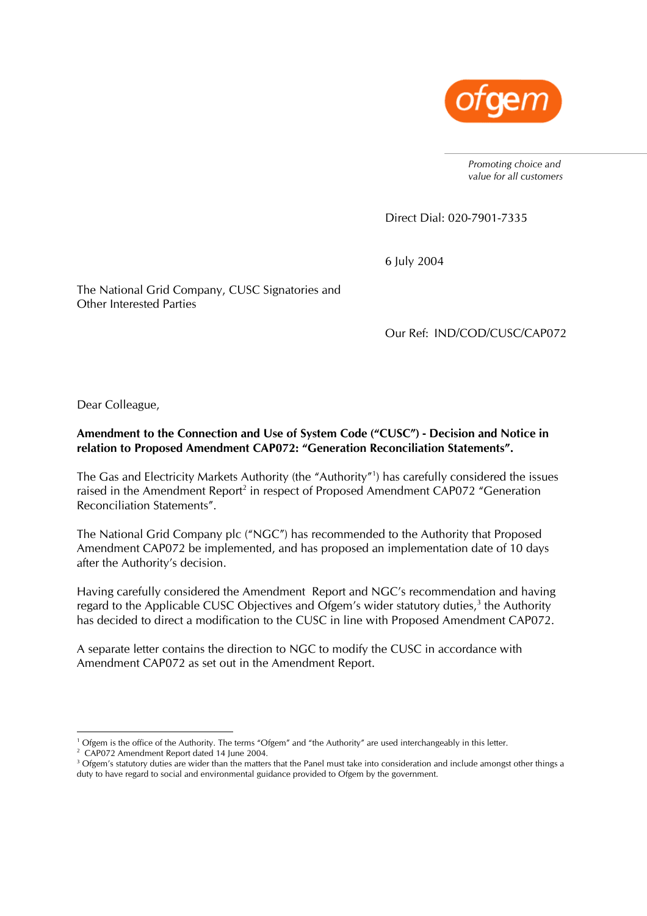

*Promoting choice and value for all customers* 

Direct Dial: 020-7901-7335

6 July 2004

The National Grid Company, CUSC Signatories and Other Interested Parties

Our Ref: IND/COD/CUSC/CAP072

Dear Colleague,

### **Amendment to the Connection and Use of System Code ("CUSC") - Decision and Notice in relation to Proposed Amendment CAP072: "Generation Reconciliation Statements".**

The Gas and Electricity Markets Authority (the "Authority"1 ) has carefully considered the issues raised in the Amendment Report<sup>2</sup> in respect of Proposed Amendment CAP072 "Generation Reconciliation Statements".

The National Grid Company plc ("NGC") has recommended to the Authority that Proposed Amendment CAP072 be implemented, and has proposed an implementation date of 10 days after the Authority's decision.

Having carefully considered the Amendment Report and NGC's recommendation and having regard to the Applicable CUSC Objectives and Ofgem's wider statutory duties, $3$  the Authority has decided to direct a modification to the CUSC in line with Proposed Amendment CAP072.

A separate letter contains the direction to NGC to modify the CUSC in accordance with Amendment CAP072 as set out in the Amendment Report.

<sup>&</sup>lt;sup>1</sup> Ofgem is the office of the Authority. The terms "Ofgem" and "the Authority" are used interchangeably in this letter.<br><sup>2</sup> CAP072 Amondment Report dated 14 lune 2004

<sup>&</sup>lt;sup>2</sup> CAP072 Amendment Report dated 14 June 2004.

 $3$  Ofgem's statutory duties are wider than the matters that the Panel must take into consideration and include amongst other things a duty to have regard to social and environmental guidance provided to Ofgem by the government.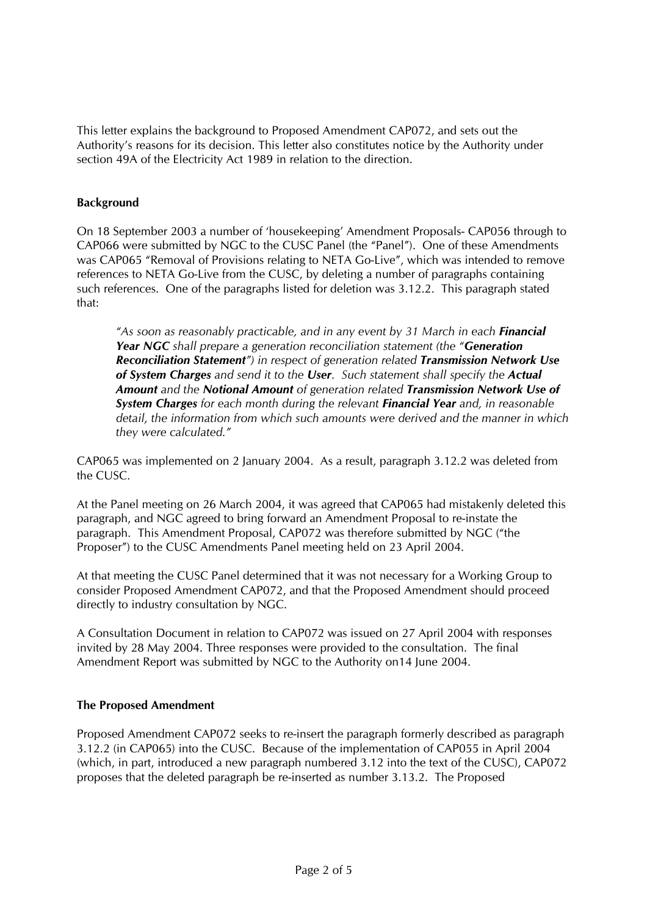This letter explains the background to Proposed Amendment CAP072, and sets out the Authority's reasons for its decision. This letter also constitutes notice by the Authority under section 49A of the Electricity Act 1989 in relation to the direction.

# **Background**

On 18 September 2003 a number of 'housekeeping' Amendment Proposals- CAP056 through to CAP066 were submitted by NGC to the CUSC Panel (the "Panel"). One of these Amendments was CAP065 "Removal of Provisions relating to NETA Go-Live", which was intended to remove references to NETA Go-Live from the CUSC, by deleting a number of paragraphs containing such references. One of the paragraphs listed for deletion was 3.12.2. This paragraph stated that:

*"As soon as reasonably practicable, and in any event by 31 March in each Financial Year NGC shall prepare a generation reconciliation statement (the "Generation Reconciliation Statement") in respect of generation related Transmission Network Use of System Charges and send it to the User. Such statement shall specify the Actual Amount and the Notional Amount of generation related Transmission Network Use of System Charges for each month during the relevant Financial Year and, in reasonable detail, the information from which such amounts were derived and the manner in which they were calculated."* 

CAP065 was implemented on 2 January 2004. As a result, paragraph 3.12.2 was deleted from the CUSC.

At the Panel meeting on 26 March 2004, it was agreed that CAP065 had mistakenly deleted this paragraph, and NGC agreed to bring forward an Amendment Proposal to re-instate the paragraph. This Amendment Proposal, CAP072 was therefore submitted by NGC ("the Proposer") to the CUSC Amendments Panel meeting held on 23 April 2004.

At that meeting the CUSC Panel determined that it was not necessary for a Working Group to consider Proposed Amendment CAP072, and that the Proposed Amendment should proceed directly to industry consultation by NGC.

A Consultation Document in relation to CAP072 was issued on 27 April 2004 with responses invited by 28 May 2004. Three responses were provided to the consultation. The final Amendment Report was submitted by NGC to the Authority on14 June 2004.

### **The Proposed Amendment**

Proposed Amendment CAP072 seeks to re-insert the paragraph formerly described as paragraph 3.12.2 (in CAP065) into the CUSC. Because of the implementation of CAP055 in April 2004 (which, in part, introduced a new paragraph numbered 3.12 into the text of the CUSC), CAP072 proposes that the deleted paragraph be re-inserted as number 3.13.2. The Proposed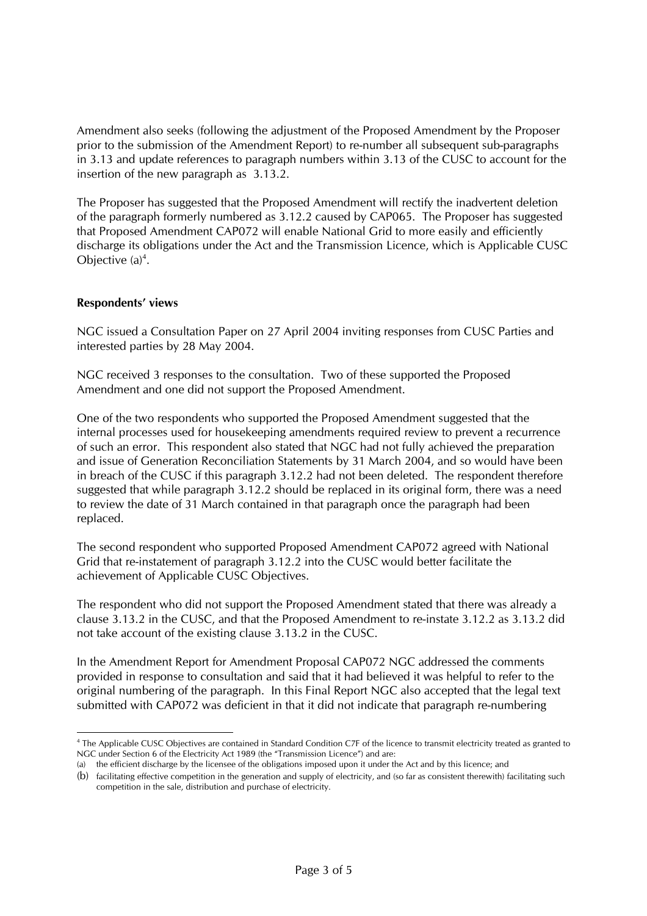Amendment also seeks (following the adjustment of the Proposed Amendment by the Proposer prior to the submission of the Amendment Report) to re-number all subsequent sub-paragraphs in 3.13 and update references to paragraph numbers within 3.13 of the CUSC to account for the insertion of the new paragraph as 3.13.2.

The Proposer has suggested that the Proposed Amendment will rectify the inadvertent deletion of the paragraph formerly numbered as 3.12.2 caused by CAP065. The Proposer has suggested that Proposed Amendment CAP072 will enable National Grid to more easily and efficiently discharge its obligations under the Act and the Transmission Licence, which is Applicable CUSC Objective  $(a)^4$ .

### **Respondents' views**

NGC issued a Consultation Paper on 27 April 2004 inviting responses from CUSC Parties and interested parties by 28 May 2004.

NGC received 3 responses to the consultation. Two of these supported the Proposed Amendment and one did not support the Proposed Amendment.

One of the two respondents who supported the Proposed Amendment suggested that the internal processes used for housekeeping amendments required review to prevent a recurrence of such an error. This respondent also stated that NGC had not fully achieved the preparation and issue of Generation Reconciliation Statements by 31 March 2004, and so would have been in breach of the CUSC if this paragraph 3.12.2 had not been deleted. The respondent therefore suggested that while paragraph 3.12.2 should be replaced in its original form, there was a need to review the date of 31 March contained in that paragraph once the paragraph had been replaced.

The second respondent who supported Proposed Amendment CAP072 agreed with National Grid that re-instatement of paragraph 3.12.2 into the CUSC would better facilitate the achievement of Applicable CUSC Objectives.

The respondent who did not support the Proposed Amendment stated that there was already a clause 3.13.2 in the CUSC, and that the Proposed Amendment to re-instate 3.12.2 as 3.13.2 did not take account of the existing clause 3.13.2 in the CUSC.

In the Amendment Report for Amendment Proposal CAP072 NGC addressed the comments provided in response to consultation and said that it had believed it was helpful to refer to the original numbering of the paragraph. In this Final Report NGC also accepted that the legal text submitted with CAP072 was deficient in that it did not indicate that paragraph re-numbering

 $\overline{a}$ 4 The Applicable CUSC Objectives are contained in Standard Condition C7F of the licence to transmit electricity treated as granted to NGC under Section 6 of the Electricity Act 1989 (the "Transmission Licence") and are:

<sup>(</sup>a) the efficient discharge by the licensee of the obligations imposed upon it under the Act and by this licence; and

<sup>(</sup>b) facilitating effective competition in the generation and supply of electricity, and (so far as consistent therewith) facilitating such competition in the sale, distribution and purchase of electricity.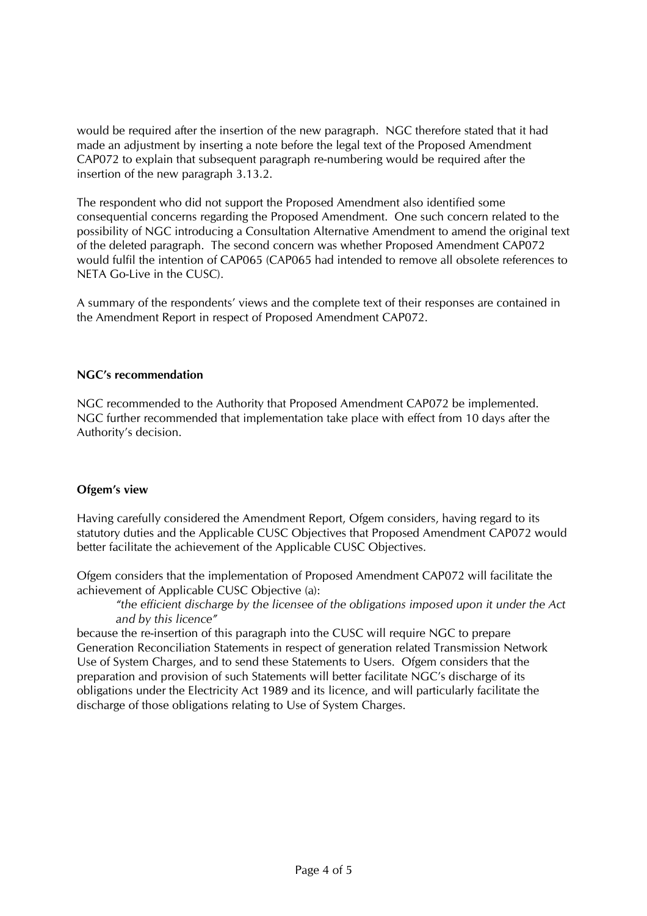would be required after the insertion of the new paragraph. NGC therefore stated that it had made an adjustment by inserting a note before the legal text of the Proposed Amendment CAP072 to explain that subsequent paragraph re-numbering would be required after the insertion of the new paragraph 3.13.2.

The respondent who did not support the Proposed Amendment also identified some consequential concerns regarding the Proposed Amendment. One such concern related to the possibility of NGC introducing a Consultation Alternative Amendment to amend the original text of the deleted paragraph. The second concern was whether Proposed Amendment CAP072 would fulfil the intention of CAP065 (CAP065 had intended to remove all obsolete references to NETA Go-Live in the CUSC).

A summary of the respondents' views and the complete text of their responses are contained in the Amendment Report in respect of Proposed Amendment CAP072.

### **NGC's recommendation**

NGC recommended to the Authority that Proposed Amendment CAP072 be implemented. NGC further recommended that implementation take place with effect from 10 days after the Authority's decision.

### **Ofgem's view**

Having carefully considered the Amendment Report, Ofgem considers, having regard to its statutory duties and the Applicable CUSC Objectives that Proposed Amendment CAP072 would better facilitate the achievement of the Applicable CUSC Objectives.

Ofgem considers that the implementation of Proposed Amendment CAP072 will facilitate the achievement of Applicable CUSC Objective (a):

*"the efficient discharge by the licensee of the obligations imposed upon it under the Act and by this licence"* 

because the re-insertion of this paragraph into the CUSC will require NGC to prepare Generation Reconciliation Statements in respect of generation related Transmission Network Use of System Charges, and to send these Statements to Users. Ofgem considers that the preparation and provision of such Statements will better facilitate NGC's discharge of its obligations under the Electricity Act 1989 and its licence, and will particularly facilitate the discharge of those obligations relating to Use of System Charges.